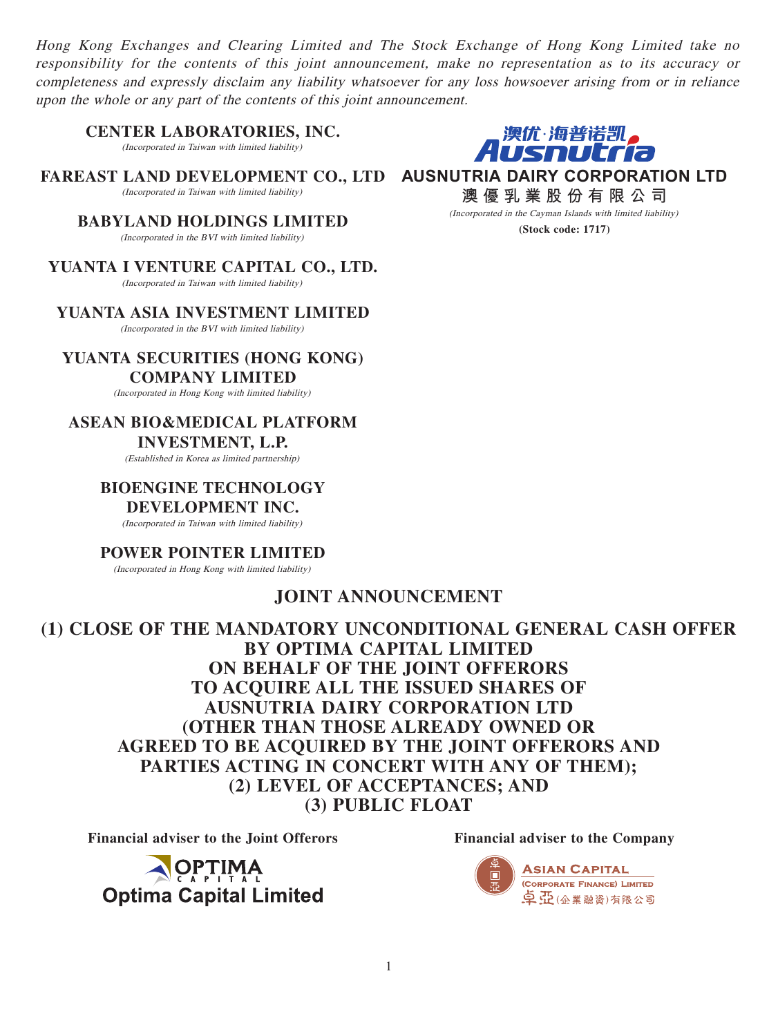Hong Kong Exchanges and Clearing Limited and The Stock Exchange of Hong Kong Limited take no responsibility for the contents of this joint announcement, make no representation as to its accuracy or completeness and expressly disclaim any liability whatsoever for any loss howsoever arising from or in reliance upon the whole or any part of the contents of this joint announcement.

**CENTER LABORATORIES, INC.**

(Incorporated in Taiwan with limited liability)

FAREAST LAND DEVELOPMENT CO., LTD AUSNUTRIA DAIRY CORPORATION LTD (Incorporated in Taiwan with limited liability)

**BABYLAND HOLDINGS LIMITED** (Incorporated in the BVI with limited liability)

**YUANTA I VENTURE CAPITAL CO., LTD.**

(Incorporated in Taiwan with limited liability)

**YUANTA ASIA INVESTMENT LIMITED** (Incorporated in the BVI with limited liability)

**YUANTA SECURITIES (HONG KONG) COMPANY LIMITED**

(Incorporated in Hong Kong with limited liability)

# **ASEAN BIO&MEDICAL PLATFORM**

# **INVESTMENT, L.P.**

(Established in Korea as limited partnership)

### **BIOENGINE TECHNOLOGY DEVELOPMENT INC.**

(Incorporated in Taiwan with limited liability)

#### **POWER POINTER LIMITED**

(Incorporated in Hong Kong with limited liability)

# **JOINT ANNOUNCEMENT**

**(1) CLOSE OF THE MANDATORY UNCONDITIONAL GENERAL CASH OFFER BY OPTIMA CAPITAL LIMITED ON BEHALF OF THE JOINT OFFERORS TO ACQUIRE ALL THE ISSUED SHARES OF AUSNUTRIA DAIRY CORPORATION LTD (OTHER THAN THOSE ALREADY OWNED OR AGREED TO BE ACQUIRED BY THE JOINT OFFERORS AND PARTIES ACTING IN CONCERT WITH ANY OF THEM); (2) LEVEL OF ACCEPTANCES; AND (3) PUBLIC FLOAT**

Financial adviser to the Joint Offerors **Financial adviser to the Company** 

**OPTIMA Optima Capital Limited** 



**澳優乳業股份有限公司** (Incorporated in the Cayman Islands with limited liability)

,澳优·海普诺凯。<br>1USNUCria

**(Stock code: 1717)**

1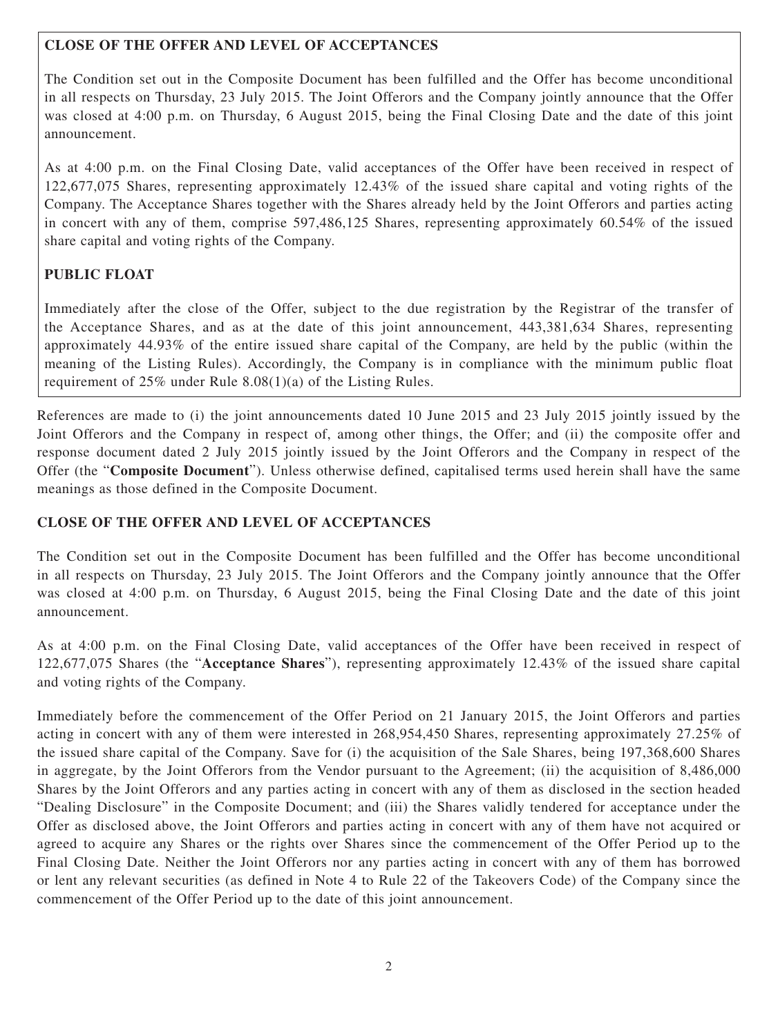# **CLOSE OF THE OFFER AND LEVEL OF ACCEPTANCES**

The Condition set out in the Composite Document has been fulfilled and the Offer has become unconditional in all respects on Thursday, 23 July 2015. The Joint Offerors and the Company jointly announce that the Offer was closed at 4:00 p.m. on Thursday, 6 August 2015, being the Final Closing Date and the date of this joint announcement.

As at 4:00 p.m. on the Final Closing Date, valid acceptances of the Offer have been received in respect of 122,677,075 Shares, representing approximately 12.43% of the issued share capital and voting rights of the Company. The Acceptance Shares together with the Shares already held by the Joint Offerors and parties acting in concert with any of them, comprise 597,486,125 Shares, representing approximately 60.54% of the issued share capital and voting rights of the Company.

# **PUBLIC FLOAT**

Immediately after the close of the Offer, subject to the due registration by the Registrar of the transfer of the Acceptance Shares, and as at the date of this joint announcement, 443,381,634 Shares, representing approximately 44.93% of the entire issued share capital of the Company, are held by the public (within the meaning of the Listing Rules). Accordingly, the Company is in compliance with the minimum public float requirement of 25% under Rule 8.08(1)(a) of the Listing Rules.

References are made to (i) the joint announcements dated 10 June 2015 and 23 July 2015 jointly issued by the Joint Offerors and the Company in respect of, among other things, the Offer; and (ii) the composite offer and response document dated 2 July 2015 jointly issued by the Joint Offerors and the Company in respect of the Offer (the "**Composite Document**"). Unless otherwise defined, capitalised terms used herein shall have the same meanings as those defined in the Composite Document.

# **CLOSE OF THE OFFER AND LEVEL OF ACCEPTANCES**

The Condition set out in the Composite Document has been fulfilled and the Offer has become unconditional in all respects on Thursday, 23 July 2015. The Joint Offerors and the Company jointly announce that the Offer was closed at 4:00 p.m. on Thursday, 6 August 2015, being the Final Closing Date and the date of this joint announcement.

As at 4:00 p.m. on the Final Closing Date, valid acceptances of the Offer have been received in respect of 122,677,075 Shares (the "**Acceptance Shares**"), representing approximately 12.43% of the issued share capital and voting rights of the Company.

Immediately before the commencement of the Offer Period on 21 January 2015, the Joint Offerors and parties acting in concert with any of them were interested in 268,954,450 Shares, representing approximately 27.25% of the issued share capital of the Company. Save for (i) the acquisition of the Sale Shares, being 197,368,600 Shares in aggregate, by the Joint Offerors from the Vendor pursuant to the Agreement; (ii) the acquisition of 8,486,000 Shares by the Joint Offerors and any parties acting in concert with any of them as disclosed in the section headed "Dealing Disclosure" in the Composite Document; and (iii) the Shares validly tendered for acceptance under the Offer as disclosed above, the Joint Offerors and parties acting in concert with any of them have not acquired or agreed to acquire any Shares or the rights over Shares since the commencement of the Offer Period up to the Final Closing Date. Neither the Joint Offerors nor any parties acting in concert with any of them has borrowed or lent any relevant securities (as defined in Note 4 to Rule 22 of the Takeovers Code) of the Company since the commencement of the Offer Period up to the date of this joint announcement.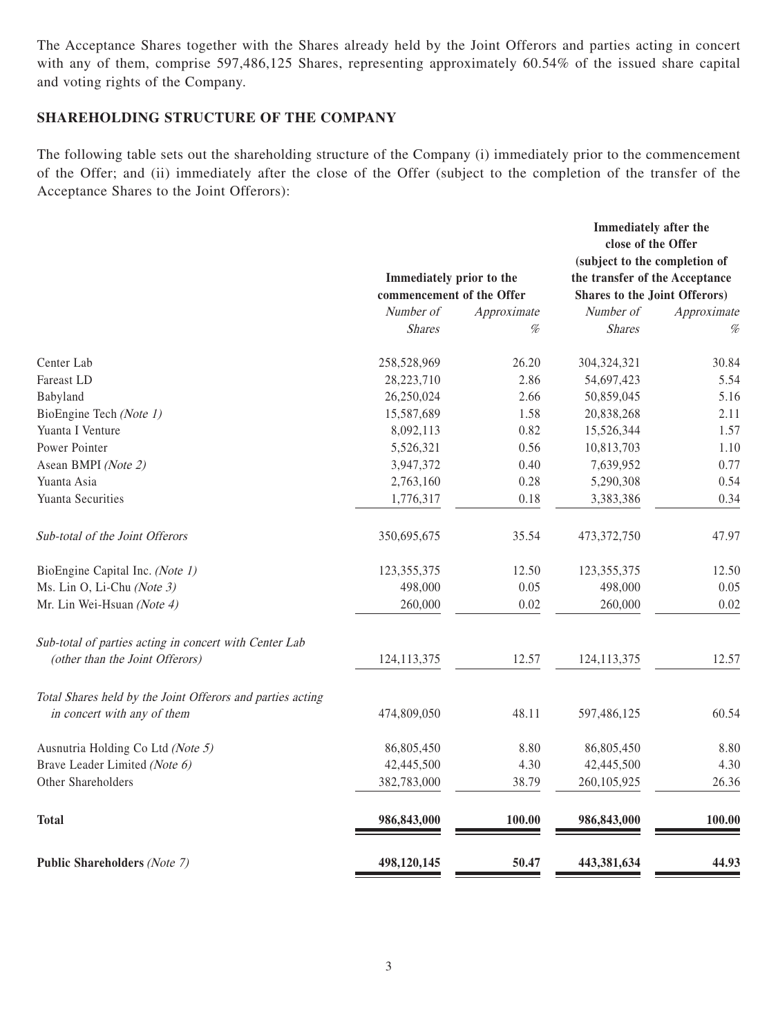The Acceptance Shares together with the Shares already held by the Joint Offerors and parties acting in concert with any of them, comprise 597,486,125 Shares, representing approximately 60.54% of the issued share capital and voting rights of the Company.

### **SHAREHOLDING STRUCTURE OF THE COMPANY**

The following table sets out the shareholding structure of the Company (i) immediately prior to the commencement of the Offer; and (ii) immediately after the close of the Offer (subject to the completion of the transfer of the Acceptance Shares to the Joint Offerors):

|                                                            |                                                       |             | Immediately after the<br>close of the Offer                            |             |
|------------------------------------------------------------|-------------------------------------------------------|-------------|------------------------------------------------------------------------|-------------|
|                                                            |                                                       |             | (subject to the completion of                                          |             |
|                                                            | Immediately prior to the<br>commencement of the Offer |             | the transfer of the Acceptance<br><b>Shares to the Joint Offerors)</b> |             |
|                                                            |                                                       |             |                                                                        |             |
|                                                            | Number of                                             | Approximate | Number of                                                              | Approximate |
|                                                            | <b>Shares</b>                                         | %           | <b>Shares</b>                                                          | %           |
| Center Lab                                                 | 258,528,969                                           | 26.20       | 304,324,321                                                            | 30.84       |
| Fareast LD                                                 | 28,223,710                                            | 2.86        | 54,697,423                                                             | 5.54        |
| Babyland                                                   | 26,250,024                                            | 2.66        | 50,859,045                                                             | 5.16        |
| BioEngine Tech (Note 1)                                    | 15,587,689                                            | 1.58        | 20,838,268                                                             | 2.11        |
| Yuanta I Venture                                           | 8,092,113                                             | 0.82        | 15,526,344                                                             | 1.57        |
| Power Pointer                                              | 5,526,321                                             | 0.56        | 10,813,703                                                             | 1.10        |
| Asean BMPI (Note 2)                                        | 3,947,372                                             | 0.40        | 7,639,952                                                              | 0.77        |
| Yuanta Asia                                                | 2,763,160                                             | 0.28        | 5,290,308                                                              | 0.54        |
| Yuanta Securities                                          | 1,776,317                                             | 0.18        | 3,383,386                                                              | 0.34        |
| Sub-total of the Joint Offerors                            | 350,695,675                                           | 35.54       | 473,372,750                                                            | 47.97       |
| BioEngine Capital Inc. (Note 1)                            | 123,355,375                                           | 12.50       | 123,355,375                                                            | 12.50       |
| Ms. Lin O, Li-Chu (Note 3)                                 | 498,000                                               | 0.05        | 498,000                                                                | 0.05        |
| Mr. Lin Wei-Hsuan (Note 4)                                 | 260,000                                               | 0.02        | 260,000                                                                | 0.02        |
| Sub-total of parties acting in concert with Center Lab     |                                                       |             |                                                                        |             |
| (other than the Joint Offerors)                            | 124, 113, 375                                         | 12.57       | 124, 113, 375                                                          | 12.57       |
| Total Shares held by the Joint Offerors and parties acting |                                                       |             |                                                                        |             |
| in concert with any of them                                | 474,809,050                                           | 48.11       | 597,486,125                                                            | 60.54       |
| Ausnutria Holding Co Ltd (Note 5)                          | 86,805,450                                            | 8.80        | 86,805,450                                                             | 8.80        |
| Brave Leader Limited (Note 6)                              | 42,445,500                                            | 4.30        | 42,445,500                                                             | 4.30        |
| Other Shareholders                                         | 382,783,000                                           | 38.79       | 260,105,925                                                            | 26.36       |
| <b>Total</b>                                               | 986, 843, 000                                         | 100.00      | 986, 843, 000                                                          | 100.00      |
| <b>Public Shareholders (Note 7)</b>                        | 498,120,145                                           | 50.47       | 443,381,634                                                            | 44.93       |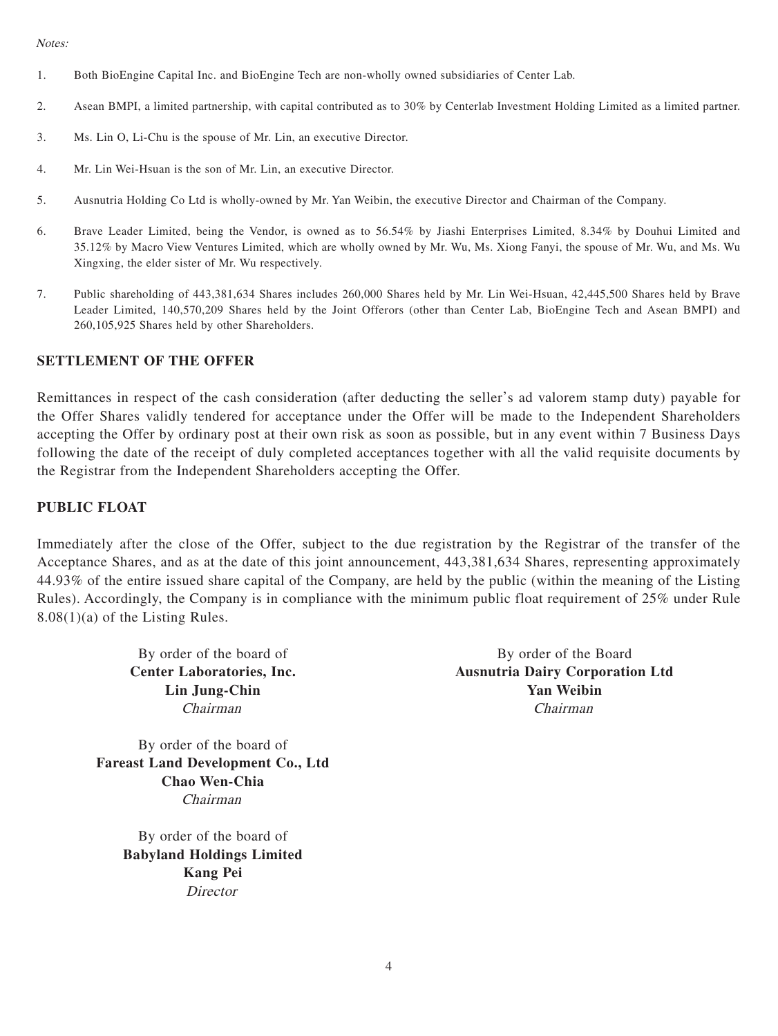Notes:

- 1. Both BioEngine Capital Inc. and BioEngine Tech are non-wholly owned subsidiaries of Center Lab.
- 2. Asean BMPI, a limited partnership, with capital contributed as to 30% by Centerlab Investment Holding Limited as a limited partner.
- 3. Ms. Lin O, Li-Chu is the spouse of Mr. Lin, an executive Director.
- 4. Mr. Lin Wei-Hsuan is the son of Mr. Lin, an executive Director.
- 5. Ausnutria Holding Co Ltd is wholly-owned by Mr. Yan Weibin, the executive Director and Chairman of the Company.
- 6. Brave Leader Limited, being the Vendor, is owned as to 56.54% by Jiashi Enterprises Limited, 8.34% by Douhui Limited and 35.12% by Macro View Ventures Limited, which are wholly owned by Mr. Wu, Ms. Xiong Fanyi, the spouse of Mr. Wu, and Ms. Wu Xingxing, the elder sister of Mr. Wu respectively.
- 7. Public shareholding of 443,381,634 Shares includes 260,000 Shares held by Mr. Lin Wei-Hsuan, 42,445,500 Shares held by Brave Leader Limited, 140,570,209 Shares held by the Joint Offerors (other than Center Lab, BioEngine Tech and Asean BMPI) and 260,105,925 Shares held by other Shareholders.

#### **SETTLEMENT OF THE OFFER**

Remittances in respect of the cash consideration (after deducting the seller's ad valorem stamp duty) payable for the Offer Shares validly tendered for acceptance under the Offer will be made to the Independent Shareholders accepting the Offer by ordinary post at their own risk as soon as possible, but in any event within 7 Business Days following the date of the receipt of duly completed acceptances together with all the valid requisite documents by the Registrar from the Independent Shareholders accepting the Offer.

#### **PUBLIC FLOAT**

Immediately after the close of the Offer, subject to the due registration by the Registrar of the transfer of the Acceptance Shares, and as at the date of this joint announcement, 443,381,634 Shares, representing approximately 44.93% of the entire issued share capital of the Company, are held by the public (within the meaning of the Listing Rules). Accordingly, the Company is in compliance with the minimum public float requirement of 25% under Rule 8.08(1)(a) of the Listing Rules.

By order of the board of **Fareast Land Development Co., Ltd Chao Wen-Chia** Chairman

> By order of the board of **Babyland Holdings Limited Kang Pei Director**

By order of the board of By order of the Board **Center Laboratories, Inc. Ausnutria Dairy Corporation Ltd Lin Jung-Chin Yan Weibin** Chairman Chairman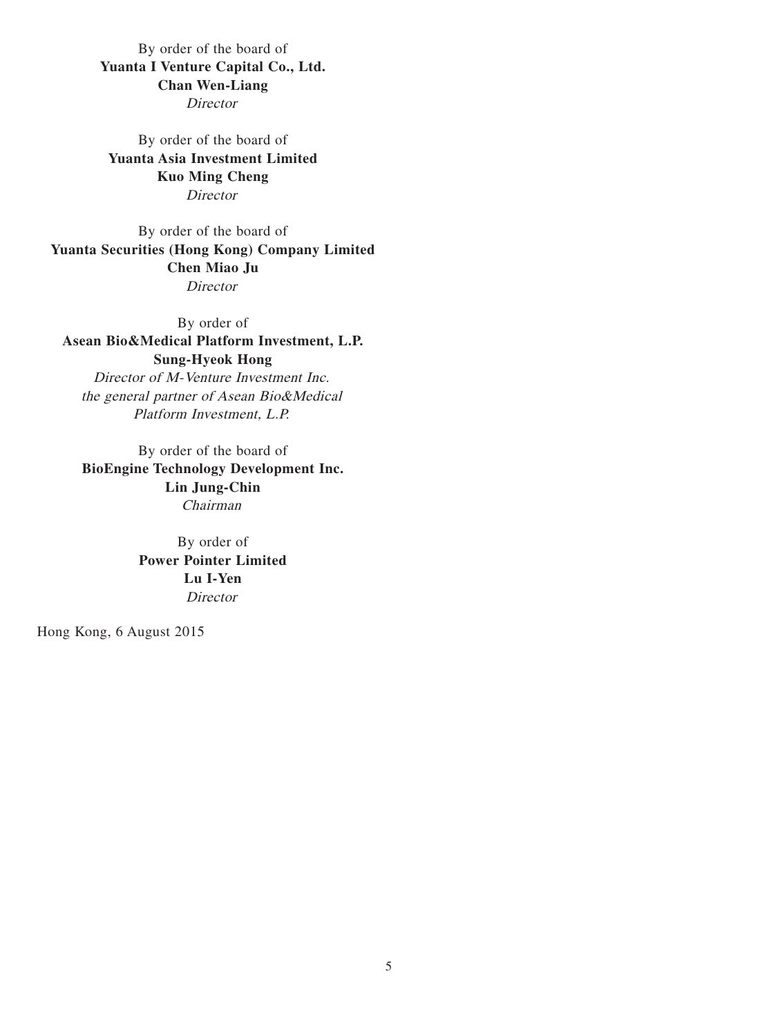By order of the board of **Yuanta I Venture Capital Co., Ltd. Chan Wen-Liang Director** 

By order of the board of **Yuanta Asia Investment Limited Kuo Ming Cheng Director** 

By order of the board of **Yuanta Securities (Hong Kong) Company Limited Chen Miao Ju Director** 

By order of **Asean Bio&Medical Platform Investment, L.P. Sung-Hyeok Hong** Director of M-Venture Investment Inc. the general partner of Asean Bio&Medical Platform Investment, L.P.

By order of the board of **BioEngine Technology Development Inc. Lin Jung-Chin** Chairman

> By order of **Power Pointer Limited Lu I-Yen** Director

Hong Kong, 6 August 2015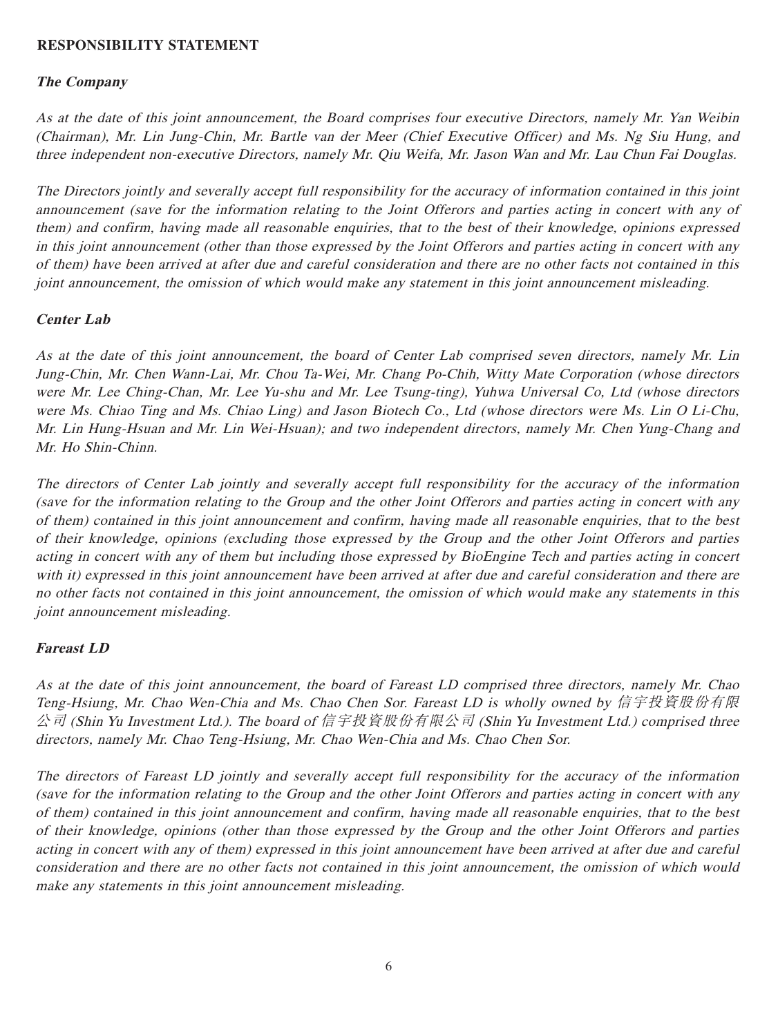### **RESPONSIBILITY STATEMENT**

### **The Company**

As at the date of this joint announcement, the Board comprises four executive Directors, namely Mr. Yan Weibin (Chairman), Mr. Lin Jung-Chin, Mr. Bartle van der Meer (Chief Executive Officer) and Ms. Ng Siu Hung, and three independent non-executive Directors, namely Mr. Qiu Weifa, Mr. Jason Wan and Mr. Lau Chun Fai Douglas.

The Directors jointly and severally accept full responsibility for the accuracy of information contained in this joint announcement (save for the information relating to the Joint Offerors and parties acting in concert with any of them) and confirm, having made all reasonable enquiries, that to the best of their knowledge, opinions expressed in this joint announcement (other than those expressed by the Joint Offerors and parties acting in concert with any of them) have been arrived at after due and careful consideration and there are no other facts not contained in this joint announcement, the omission of which would make any statement in this joint announcement misleading.

### **Center Lab**

As at the date of this joint announcement, the board of Center Lab comprised seven directors, namely Mr. Lin Jung-Chin, Mr. Chen Wann-Lai, Mr. Chou Ta-Wei, Mr. Chang Po-Chih, Witty Mate Corporation (whose directors were Mr. Lee Ching-Chan, Mr. Lee Yu-shu and Mr. Lee Tsung-ting), Yuhwa Universal Co, Ltd (whose directors were Ms. Chiao Ting and Ms. Chiao Ling) and Jason Biotech Co., Ltd (whose directors were Ms. Lin O Li-Chu, Mr. Lin Hung-Hsuan and Mr. Lin Wei-Hsuan); and two independent directors, namely Mr. Chen Yung-Chang and Mr. Ho Shin-Chinn.

The directors of Center Lab jointly and severally accept full responsibility for the accuracy of the information (save for the information relating to the Group and the other Joint Offerors and parties acting in concert with any of them) contained in this joint announcement and confirm, having made all reasonable enquiries, that to the best of their knowledge, opinions (excluding those expressed by the Group and the other Joint Offerors and parties acting in concert with any of them but including those expressed by BioEngine Tech and parties acting in concert with it) expressed in this joint announcement have been arrived at after due and careful consideration and there are no other facts not contained in this joint announcement, the omission of which would make any statements in this joint announcement misleading.

#### **Fareast LD**

As at the date of this joint announcement, the board of Fareast LD comprised three directors, namely Mr. Chao Teng-Hsiung, Mr. Chao Wen-Chia and Ms. Chao Chen Sor. Fareast LD is wholly owned by 信宇投資股份有限 公司 (Shin Yu Investment Ltd.). The board of 信宇投資股份有限公司 (Shin Yu Investment Ltd.) comprised three directors, namely Mr. Chao Teng-Hsiung, Mr. Chao Wen-Chia and Ms. Chao Chen Sor.

The directors of Fareast LD jointly and severally accept full responsibility for the accuracy of the information (save for the information relating to the Group and the other Joint Offerors and parties acting in concert with any of them) contained in this joint announcement and confirm, having made all reasonable enquiries, that to the best of their knowledge, opinions (other than those expressed by the Group and the other Joint Offerors and parties acting in concert with any of them) expressed in this joint announcement have been arrived at after due and careful consideration and there are no other facts not contained in this joint announcement, the omission of which would make any statements in this joint announcement misleading.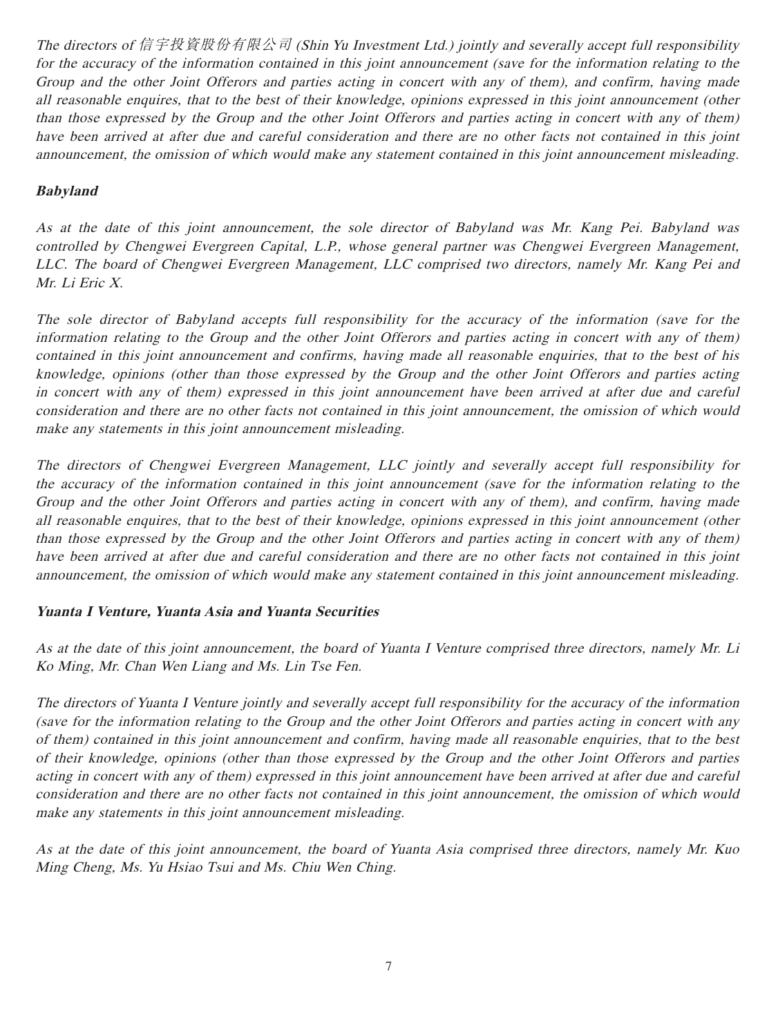The directors of 信宇投資股份有限公司 (Shin Yu Investment Ltd.) jointly and severally accept full responsibility for the accuracy of the information contained in this joint announcement (save for the information relating to the Group and the other Joint Offerors and parties acting in concert with any of them), and confirm, having made all reasonable enquires, that to the best of their knowledge, opinions expressed in this joint announcement (other than those expressed by the Group and the other Joint Offerors and parties acting in concert with any of them) have been arrived at after due and careful consideration and there are no other facts not contained in this joint announcement, the omission of which would make any statement contained in this joint announcement misleading.

# **Babyland**

As at the date of this joint announcement, the sole director of Babyland was Mr. Kang Pei. Babyland was controlled by Chengwei Evergreen Capital, L.P., whose general partner was Chengwei Evergreen Management, LLC. The board of Chengwei Evergreen Management, LLC comprised two directors, namely Mr. Kang Pei and Mr. Li Eric X.

The sole director of Babyland accepts full responsibility for the accuracy of the information (save for the information relating to the Group and the other Joint Offerors and parties acting in concert with any of them) contained in this joint announcement and confirms, having made all reasonable enquiries, that to the best of his knowledge, opinions (other than those expressed by the Group and the other Joint Offerors and parties acting in concert with any of them) expressed in this joint announcement have been arrived at after due and careful consideration and there are no other facts not contained in this joint announcement, the omission of which would make any statements in this joint announcement misleading.

The directors of Chengwei Evergreen Management, LLC jointly and severally accept full responsibility for the accuracy of the information contained in this joint announcement (save for the information relating to the Group and the other Joint Offerors and parties acting in concert with any of them), and confirm, having made all reasonable enquires, that to the best of their knowledge, opinions expressed in this joint announcement (other than those expressed by the Group and the other Joint Offerors and parties acting in concert with any of them) have been arrived at after due and careful consideration and there are no other facts not contained in this joint announcement, the omission of which would make any statement contained in this joint announcement misleading.

## **Yuanta I Venture, Yuanta Asia and Yuanta Securities**

As at the date of this joint announcement, the board of Yuanta I Venture comprised three directors, namely Mr. Li Ko Ming, Mr. Chan Wen Liang and Ms. Lin Tse Fen.

The directors of Yuanta I Venture jointly and severally accept full responsibility for the accuracy of the information (save for the information relating to the Group and the other Joint Offerors and parties acting in concert with any of them) contained in this joint announcement and confirm, having made all reasonable enquiries, that to the best of their knowledge, opinions (other than those expressed by the Group and the other Joint Offerors and parties acting in concert with any of them) expressed in this joint announcement have been arrived at after due and careful consideration and there are no other facts not contained in this joint announcement, the omission of which would make any statements in this joint announcement misleading.

As at the date of this joint announcement, the board of Yuanta Asia comprised three directors, namely Mr. Kuo Ming Cheng, Ms. Yu Hsiao Tsui and Ms. Chiu Wen Ching.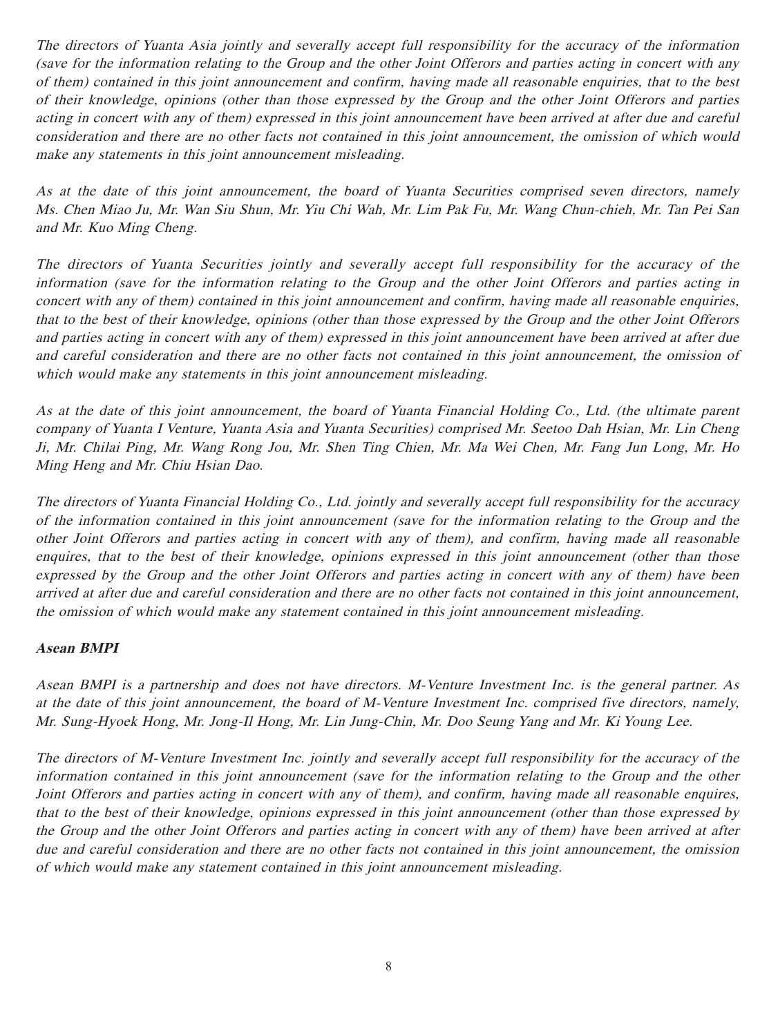The directors of Yuanta Asia jointly and severally accept full responsibility for the accuracy of the information (save for the information relating to the Group and the other Joint Offerors and parties acting in concert with any of them) contained in this joint announcement and confirm, having made all reasonable enquiries, that to the best of their knowledge, opinions (other than those expressed by the Group and the other Joint Offerors and parties acting in concert with any of them) expressed in this joint announcement have been arrived at after due and careful consideration and there are no other facts not contained in this joint announcement, the omission of which would make any statements in this joint announcement misleading.

As at the date of this joint announcement, the board of Yuanta Securities comprised seven directors, namely Ms. Chen Miao Ju, Mr. Wan Siu Shun, Mr. Yiu Chi Wah, Mr. Lim Pak Fu, Mr. Wang Chun-chieh, Mr. Tan Pei San and Mr. Kuo Ming Cheng.

The directors of Yuanta Securities jointly and severally accept full responsibility for the accuracy of the information (save for the information relating to the Group and the other Joint Offerors and parties acting in concert with any of them) contained in this joint announcement and confirm, having made all reasonable enquiries, that to the best of their knowledge, opinions (other than those expressed by the Group and the other Joint Offerors and parties acting in concert with any of them) expressed in this joint announcement have been arrived at after due and careful consideration and there are no other facts not contained in this joint announcement, the omission of which would make any statements in this joint announcement misleading.

As at the date of this joint announcement, the board of Yuanta Financial Holding Co., Ltd. (the ultimate parent company of Yuanta I Venture, Yuanta Asia and Yuanta Securities) comprised Mr. Seetoo Dah Hsian, Mr. Lin Cheng Ji, Mr. Chilai Ping, Mr. Wang Rong Jou, Mr. Shen Ting Chien, Mr. Ma Wei Chen, Mr. Fang Jun Long, Mr. Ho Ming Heng and Mr. Chiu Hsian Dao.

The directors of Yuanta Financial Holding Co., Ltd. jointly and severally accept full responsibility for the accuracy of the information contained in this joint announcement (save for the information relating to the Group and the other Joint Offerors and parties acting in concert with any of them), and confirm, having made all reasonable enquires, that to the best of their knowledge, opinions expressed in this joint announcement (other than those expressed by the Group and the other Joint Offerors and parties acting in concert with any of them) have been arrived at after due and careful consideration and there are no other facts not contained in this joint announcement, the omission of which would make any statement contained in this joint announcement misleading.

## **Asean BMPI**

Asean BMPI is a partnership and does not have directors. M-Venture Investment Inc. is the general partner. As at the date of this joint announcement, the board of M-Venture Investment Inc. comprised five directors, namely, Mr. Sung-Hyoek Hong, Mr. Jong-Il Hong, Mr. Lin Jung-Chin, Mr. Doo Seung Yang and Mr. Ki Young Lee.

The directors of M-Venture Investment Inc. jointly and severally accept full responsibility for the accuracy of the information contained in this joint announcement (save for the information relating to the Group and the other Joint Offerors and parties acting in concert with any of them), and confirm, having made all reasonable enquires, that to the best of their knowledge, opinions expressed in this joint announcement (other than those expressed by the Group and the other Joint Offerors and parties acting in concert with any of them) have been arrived at after due and careful consideration and there are no other facts not contained in this joint announcement, the omission of which would make any statement contained in this joint announcement misleading.